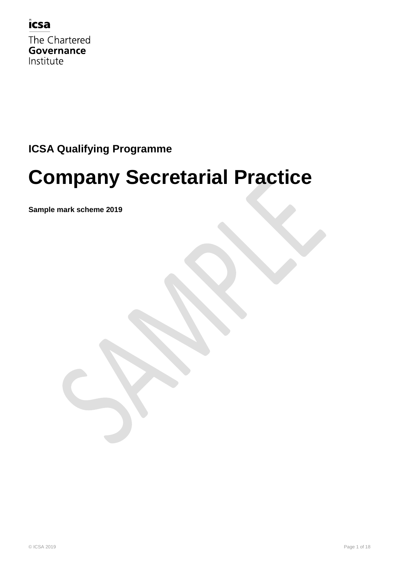

The Chartered **Governance** Institute

## **ICSA Qualifying Programme**

## **Company Secretarial Practice**

**Sample mark scheme 2019**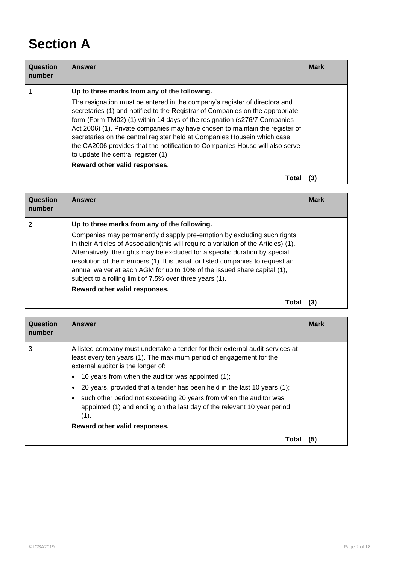## **Section A**

| Question<br>number | <b>Answer</b>                                                                                                                                                                                                                                                                                                                                                                                                                                                                                                                                                                                               | <b>Mark</b> |
|--------------------|-------------------------------------------------------------------------------------------------------------------------------------------------------------------------------------------------------------------------------------------------------------------------------------------------------------------------------------------------------------------------------------------------------------------------------------------------------------------------------------------------------------------------------------------------------------------------------------------------------------|-------------|
|                    | Up to three marks from any of the following.<br>The resignation must be entered in the company's register of directors and<br>secretaries (1) and notified to the Registrar of Companies on the appropriate<br>form (Form TM02) (1) within 14 days of the resignation (s276/7 Companies<br>Act 2006) (1). Private companies may have chosen to maintain the register of<br>secretaries on the central register held at Companies Housein which case<br>the CA2006 provides that the notification to Companies House will also serve<br>to update the central register (1).<br>Reward other valid responses. |             |
|                    | Tota                                                                                                                                                                                                                                                                                                                                                                                                                                                                                                                                                                                                        |             |

| Question<br>number | Answer                                                                                                                                                                                                                                                                                                                                                                                                                                                                   | <b>Mark</b> |
|--------------------|--------------------------------------------------------------------------------------------------------------------------------------------------------------------------------------------------------------------------------------------------------------------------------------------------------------------------------------------------------------------------------------------------------------------------------------------------------------------------|-------------|
|                    | Up to three marks from any of the following.                                                                                                                                                                                                                                                                                                                                                                                                                             |             |
|                    | Companies may permanently disapply pre-emption by excluding such rights<br>in their Articles of Association(this will require a variation of the Articles) (1).<br>Alternatively, the rights may be excluded for a specific duration by special<br>resolution of the members (1). It is usual for listed companies to request an<br>annual waiver at each AGM for up to 10% of the issued share capital (1),<br>subject to a rolling limit of 7.5% over three years (1). |             |
|                    | Reward other valid responses.                                                                                                                                                                                                                                                                                                                                                                                                                                            |             |
|                    | Tota                                                                                                                                                                                                                                                                                                                                                                                                                                                                     |             |

| Question<br>number | <b>Answer</b>                                                                                                                                                                                                                                                                                                                                                                                                                                                                                                         | <b>Mark</b> |
|--------------------|-----------------------------------------------------------------------------------------------------------------------------------------------------------------------------------------------------------------------------------------------------------------------------------------------------------------------------------------------------------------------------------------------------------------------------------------------------------------------------------------------------------------------|-------------|
| 3                  | A listed company must undertake a tender for their external audit services at<br>least every ten years (1). The maximum period of engagement for the<br>external auditor is the longer of:<br>10 years from when the auditor was appointed (1);<br>20 years, provided that a tender has been held in the last 10 years (1);<br>such other period not exceeding 20 years from when the auditor was<br>appointed (1) and ending on the last day of the relevant 10 year period<br>(1).<br>Reward other valid responses. |             |
|                    | Total                                                                                                                                                                                                                                                                                                                                                                                                                                                                                                                 | (5)         |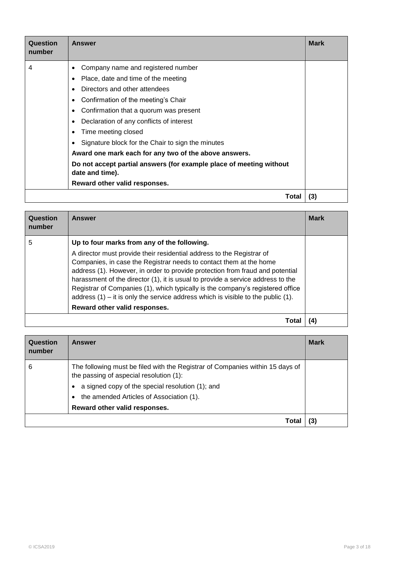| Question<br>number | Answer                                                                                 | <b>Mark</b> |
|--------------------|----------------------------------------------------------------------------------------|-------------|
| 4                  | Company name and registered number<br>٠                                                |             |
|                    | Place, date and time of the meeting                                                    |             |
|                    | Directors and other attendees                                                          |             |
|                    | Confirmation of the meeting's Chair                                                    |             |
|                    | Confirmation that a quorum was present                                                 |             |
|                    | Declaration of any conflicts of interest                                               |             |
|                    | Time meeting closed                                                                    |             |
|                    | Signature block for the Chair to sign the minutes                                      |             |
|                    | Award one mark each for any two of the above answers.                                  |             |
|                    | Do not accept partial answers (for example place of meeting without<br>date and time). |             |
|                    | Reward other valid responses.                                                          |             |
|                    | Total                                                                                  | (3)         |

| Question<br>number | <b>Answer</b>                                                                                                                                                                                                                                                                                                                                                                                                                                                                              | <b>Mark</b> |
|--------------------|--------------------------------------------------------------------------------------------------------------------------------------------------------------------------------------------------------------------------------------------------------------------------------------------------------------------------------------------------------------------------------------------------------------------------------------------------------------------------------------------|-------------|
| 5                  | Up to four marks from any of the following.                                                                                                                                                                                                                                                                                                                                                                                                                                                |             |
|                    | A director must provide their residential address to the Registrar of<br>Companies, in case the Registrar needs to contact them at the home<br>address (1). However, in order to provide protection from fraud and potential<br>harassment of the director (1), it is usual to provide a service address to the<br>Registrar of Companies (1), which typically is the company's registered office<br>address $(1)$ – it is only the service address which is visible to the public $(1)$ . |             |
|                    | Reward other valid responses.                                                                                                                                                                                                                                                                                                                                                                                                                                                              |             |
|                    | Tota                                                                                                                                                                                                                                                                                                                                                                                                                                                                                       | (4)         |

| Question<br>number | Answer                                                                                                                   | <b>Mark</b> |
|--------------------|--------------------------------------------------------------------------------------------------------------------------|-------------|
| 6                  | The following must be filed with the Registrar of Companies within 15 days of<br>the passing of aspecial resolution (1): |             |
|                    | a signed copy of the special resolution (1); and                                                                         |             |
|                    | the amended Articles of Association (1).<br>$\bullet$                                                                    |             |
|                    | Reward other valid responses.                                                                                            |             |
|                    | Total                                                                                                                    | (3)         |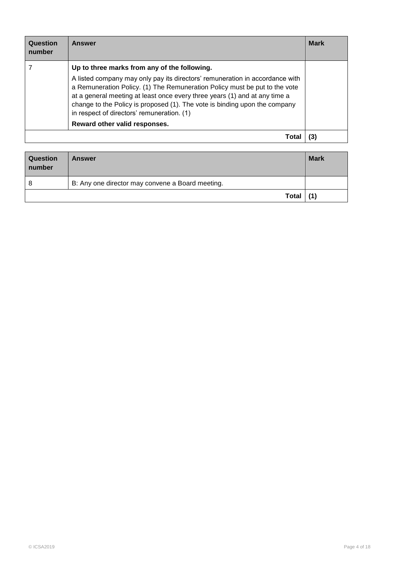| Question<br>number | Answer                                                                                                                                                                                                                                                                                                                                                               | <b>Mark</b> |
|--------------------|----------------------------------------------------------------------------------------------------------------------------------------------------------------------------------------------------------------------------------------------------------------------------------------------------------------------------------------------------------------------|-------------|
|                    | Up to three marks from any of the following.                                                                                                                                                                                                                                                                                                                         |             |
|                    | A listed company may only pay its directors' remuneration in accordance with<br>a Remuneration Policy. (1) The Remuneration Policy must be put to the vote<br>at a general meeting at least once every three years (1) and at any time a<br>change to the Policy is proposed (1). The vote is binding upon the company<br>in respect of directors' remuneration. (1) |             |
|                    | Reward other valid responses.                                                                                                                                                                                                                                                                                                                                        |             |
|                    | Tota                                                                                                                                                                                                                                                                                                                                                                 |             |

| <b>Question</b><br>number | Answer                                           | <b>Mark</b> |
|---------------------------|--------------------------------------------------|-------------|
| 8                         | B: Any one director may convene a Board meeting. |             |
|                           | <b>Total</b>                                     | (1)         |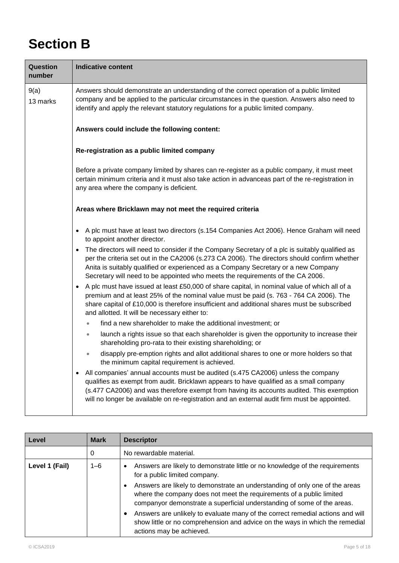## **Section B**

| Question<br>number | <b>Indicative content</b>                                                                                                                                                                                                                                                                                                                                                           |  |  |
|--------------------|-------------------------------------------------------------------------------------------------------------------------------------------------------------------------------------------------------------------------------------------------------------------------------------------------------------------------------------------------------------------------------------|--|--|
| 9(a)<br>13 marks   | Answers should demonstrate an understanding of the correct operation of a public limited<br>company and be applied to the particular circumstances in the question. Answers also need to<br>identify and apply the relevant statutory regulations for a public limited company.                                                                                                     |  |  |
|                    | Answers could include the following content:                                                                                                                                                                                                                                                                                                                                        |  |  |
|                    | Re-registration as a public limited company                                                                                                                                                                                                                                                                                                                                         |  |  |
|                    | Before a private company limited by shares can re-register as a public company, it must meet<br>certain minimum criteria and it must also take action in advanceas part of the re-registration in<br>any area where the company is deficient.                                                                                                                                       |  |  |
|                    | Areas where Bricklawn may not meet the required criteria                                                                                                                                                                                                                                                                                                                            |  |  |
|                    | A plc must have at least two directors (s.154 Companies Act 2006). Hence Graham will need<br>$\bullet$<br>to appoint another director.                                                                                                                                                                                                                                              |  |  |
|                    | The directors will need to consider if the Company Secretary of a plc is suitably qualified as<br>$\bullet$<br>per the criteria set out in the CA2006 (s.273 CA 2006). The directors should confirm whether<br>Anita is suitably qualified or experienced as a Company Secretary or a new Company<br>Secretary will need to be appointed who meets the requirements of the CA 2006. |  |  |
|                    | A plc must have issued at least £50,000 of share capital, in nominal value of which all of a<br>$\bullet$<br>premium and at least 25% of the nominal value must be paid (s. 763 - 764 CA 2006). The<br>share capital of £10,000 is therefore insufficient and additional shares must be subscribed<br>and allotted. It will be necessary either to:                                 |  |  |
|                    | find a new shareholder to make the additional investment; or<br>$\bullet$                                                                                                                                                                                                                                                                                                           |  |  |
|                    | launch a rights issue so that each shareholder is given the opportunity to increase their<br>$\bullet$<br>shareholding pro-rata to their existing shareholding; or                                                                                                                                                                                                                  |  |  |
|                    | disapply pre-emption rights and allot additional shares to one or more holders so that<br>0<br>the minimum capital requirement is achieved.                                                                                                                                                                                                                                         |  |  |
|                    | All companies' annual accounts must be audited (s.475 CA2006) unless the company<br>٠<br>qualifies as exempt from audit. Bricklawn appears to have qualified as a small company<br>(s.477 CA2006) and was therefore exempt from having its accounts audited. This exemption<br>will no longer be available on re-registration and an external audit firm must be appointed.         |  |  |

| Level          | <b>Mark</b> | <b>Descriptor</b>                                                                                                                                                                                                                           |
|----------------|-------------|---------------------------------------------------------------------------------------------------------------------------------------------------------------------------------------------------------------------------------------------|
|                | 0           | No rewardable material.                                                                                                                                                                                                                     |
| Level 1 (Fail) | $1 - 6$     | Answers are likely to demonstrate little or no knowledge of the requirements<br>$\bullet$<br>for a public limited company.                                                                                                                  |
|                |             | Answers are likely to demonstrate an understanding of only one of the areas<br>$\bullet$<br>where the company does not meet the requirements of a public limited<br>companyor demonstrate a superficial understanding of some of the areas. |
|                |             | Answers are unlikely to evaluate many of the correct remedial actions and will<br>$\bullet$<br>show little or no comprehension and advice on the ways in which the remedial<br>actions may be achieved.                                     |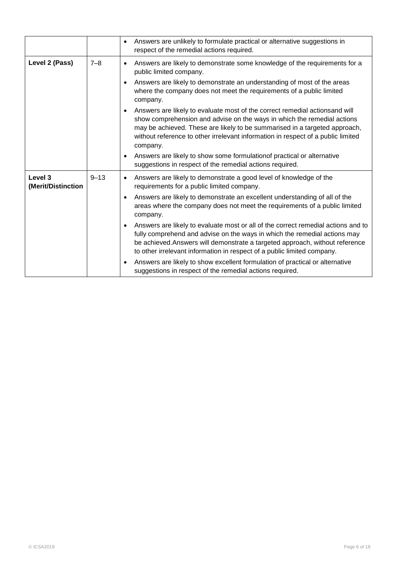|                               |          | Answers are unlikely to formulate practical or alternative suggestions in<br>$\bullet$<br>respect of the remedial actions required.                                                                                                                                                                                                                |
|-------------------------------|----------|----------------------------------------------------------------------------------------------------------------------------------------------------------------------------------------------------------------------------------------------------------------------------------------------------------------------------------------------------|
| Level 2 (Pass)                | $7 - 8$  | Answers are likely to demonstrate some knowledge of the requirements for a<br>$\bullet$<br>public limited company.                                                                                                                                                                                                                                 |
|                               |          | Answers are likely to demonstrate an understanding of most of the areas<br>$\bullet$<br>where the company does not meet the requirements of a public limited<br>company.                                                                                                                                                                           |
|                               |          | Answers are likely to evaluate most of the correct remedial actions and will<br>$\bullet$<br>show comprehension and advise on the ways in which the remedial actions<br>may be achieved. These are likely to be summarised in a targeted approach,<br>without reference to other irrelevant information in respect of a public limited<br>company. |
|                               |          | Answers are likely to show some formulation of practical or alternative<br>$\bullet$<br>suggestions in respect of the remedial actions required.                                                                                                                                                                                                   |
| Level 3<br>(Merit/Distinction | $9 - 13$ | Answers are likely to demonstrate a good level of knowledge of the<br>$\bullet$<br>requirements for a public limited company.                                                                                                                                                                                                                      |
|                               |          | Answers are likely to demonstrate an excellent understanding of all of the<br>$\bullet$<br>areas where the company does not meet the requirements of a public limited<br>company.                                                                                                                                                                  |
|                               |          | Answers are likely to evaluate most or all of the correct remedial actions and to<br>$\bullet$<br>fully comprehend and advise on the ways in which the remedial actions may<br>be achieved. Answers will demonstrate a targeted approach, without reference<br>to other irrelevant information in respect of a public limited company.             |
|                               |          | Answers are likely to show excellent formulation of practical or alternative<br>$\bullet$<br>suggestions in respect of the remedial actions required.                                                                                                                                                                                              |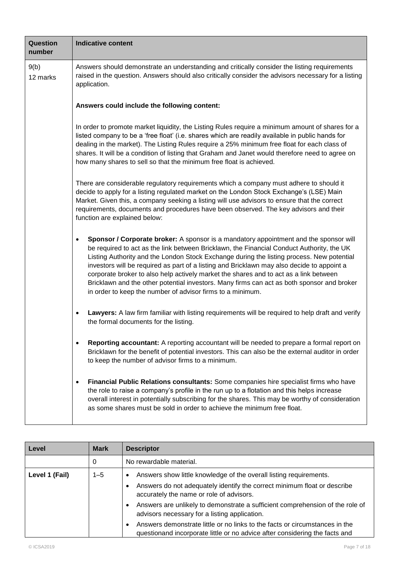| Question<br>number | <b>Indicative content</b>                                                                                                                                                                                                                                                                                                                                                                                                                                                                                                                                                                                                               |
|--------------------|-----------------------------------------------------------------------------------------------------------------------------------------------------------------------------------------------------------------------------------------------------------------------------------------------------------------------------------------------------------------------------------------------------------------------------------------------------------------------------------------------------------------------------------------------------------------------------------------------------------------------------------------|
| 9(b)<br>12 marks   | Answers should demonstrate an understanding and critically consider the listing requirements<br>raised in the question. Answers should also critically consider the advisors necessary for a listing<br>application.                                                                                                                                                                                                                                                                                                                                                                                                                    |
|                    | Answers could include the following content:                                                                                                                                                                                                                                                                                                                                                                                                                                                                                                                                                                                            |
|                    | In order to promote market liquidity, the Listing Rules require a minimum amount of shares for a<br>listed company to be a 'free float' (i.e. shares which are readily available in public hands for<br>dealing in the market). The Listing Rules require a 25% minimum free float for each class of<br>shares. It will be a condition of listing that Graham and Janet would therefore need to agree on<br>how many shares to sell so that the minimum free float is achieved.                                                                                                                                                         |
|                    | There are considerable regulatory requirements which a company must adhere to should it<br>decide to apply for a listing regulated market on the London Stock Exchange's (LSE) Main<br>Market. Given this, a company seeking a listing will use advisors to ensure that the correct<br>requirements, documents and procedures have been observed. The key advisors and their<br>function are explained below:                                                                                                                                                                                                                           |
|                    | Sponsor / Corporate broker: A sponsor is a mandatory appointment and the sponsor will<br>٠<br>be required to act as the link between Bricklawn, the Financial Conduct Authority, the UK<br>Listing Authority and the London Stock Exchange during the listing process. New potential<br>investors will be required as part of a listing and Bricklawn may also decide to appoint a<br>corporate broker to also help actively market the shares and to act as a link between<br>Bricklawn and the other potential investors. Many firms can act as both sponsor and broker<br>in order to keep the number of advisor firms to a minimum. |
|                    | Lawyers: A law firm familiar with listing requirements will be required to help draft and verify<br>$\bullet$<br>the formal documents for the listing.                                                                                                                                                                                                                                                                                                                                                                                                                                                                                  |
|                    | Reporting accountant: A reporting accountant will be needed to prepare a formal report on<br>Bricklawn for the benefit of potential investors. This can also be the external auditor in order<br>to keep the number of advisor firms to a minimum.                                                                                                                                                                                                                                                                                                                                                                                      |
|                    | Financial Public Relations consultants: Some companies hire specialist firms who have<br>the role to raise a company's profile in the run up to a flotation and this helps increase<br>overall interest in potentially subscribing for the shares. This may be worthy of consideration<br>as some shares must be sold in order to achieve the minimum free float.                                                                                                                                                                                                                                                                       |

| Level          | <b>Mark</b> | <b>Descriptor</b>                                                                                                                                          |
|----------------|-------------|------------------------------------------------------------------------------------------------------------------------------------------------------------|
|                | 0           | No rewardable material.                                                                                                                                    |
| Level 1 (Fail) | $1 - 5$     | Answers show little knowledge of the overall listing requirements.<br>$\bullet$                                                                            |
|                |             | Answers do not adequately identify the correct minimum float or describe<br>accurately the name or role of advisors.                                       |
|                |             | Answers are unlikely to demonstrate a sufficient comprehension of the role of<br>advisors necessary for a listing application.                             |
|                |             | Answers demonstrate little or no links to the facts or circumstances in the<br>questionand incorporate little or no advice after considering the facts and |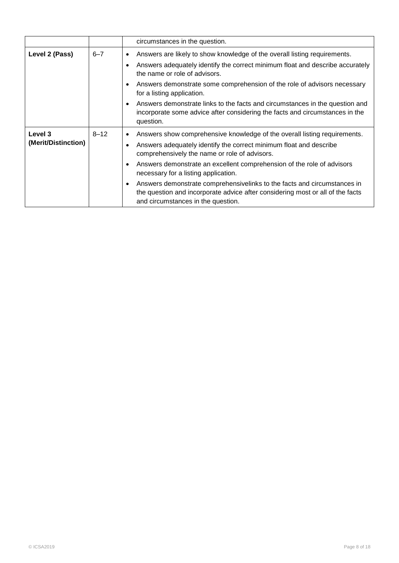|                                |          | circumstances in the question.                                                                                                                                                                                                                                                                                                                                                                                                                                                                                                                   |
|--------------------------------|----------|--------------------------------------------------------------------------------------------------------------------------------------------------------------------------------------------------------------------------------------------------------------------------------------------------------------------------------------------------------------------------------------------------------------------------------------------------------------------------------------------------------------------------------------------------|
| Level 2 (Pass)                 | $6 - 7$  | Answers are likely to show knowledge of the overall listing requirements.<br>$\bullet$<br>Answers adequately identify the correct minimum float and describe accurately<br>the name or role of advisors.<br>Answers demonstrate some comprehension of the role of advisors necessary<br>for a listing application.                                                                                                                                                                                                                               |
|                                |          | Answers demonstrate links to the facts and circumstances in the question and<br>incorporate some advice after considering the facts and circumstances in the<br>question.                                                                                                                                                                                                                                                                                                                                                                        |
| Level 3<br>(Merit/Distinction) | $8 - 12$ | Answers show comprehensive knowledge of the overall listing requirements.<br>$\bullet$<br>Answers adequately identify the correct minimum float and describe<br>comprehensively the name or role of advisors.<br>Answers demonstrate an excellent comprehension of the role of advisors<br>$\bullet$<br>necessary for a listing application.<br>Answers demonstrate comprehensivelinks to the facts and circumstances in<br>the question and incorporate advice after considering most or all of the facts<br>and circumstances in the question. |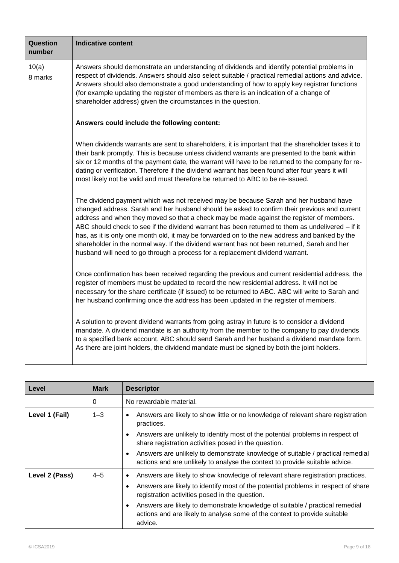| Question<br>number | <b>Indicative content</b>                                                                                                                                                                                                                                                                                                                                                                                                                                                                                                                                                                                                                                              |
|--------------------|------------------------------------------------------------------------------------------------------------------------------------------------------------------------------------------------------------------------------------------------------------------------------------------------------------------------------------------------------------------------------------------------------------------------------------------------------------------------------------------------------------------------------------------------------------------------------------------------------------------------------------------------------------------------|
| 10(a)<br>8 marks   | Answers should demonstrate an understanding of dividends and identify potential problems in<br>respect of dividends. Answers should also select suitable / practical remedial actions and advice.<br>Answers should also demonstrate a good understanding of how to apply key registrar functions<br>(for example updating the register of members as there is an indication of a change of<br>shareholder address) given the circumstances in the question.                                                                                                                                                                                                           |
|                    | Answers could include the following content:                                                                                                                                                                                                                                                                                                                                                                                                                                                                                                                                                                                                                           |
|                    | When dividends warrants are sent to shareholders, it is important that the shareholder takes it to<br>their bank promptly. This is because unless dividend warrants are presented to the bank within<br>six or 12 months of the payment date, the warrant will have to be returned to the company for re-<br>dating or verification. Therefore if the dividend warrant has been found after four years it will<br>most likely not be valid and must therefore be returned to ABC to be re-issued.                                                                                                                                                                      |
|                    | The dividend payment which was not received may be because Sarah and her husband have<br>changed address. Sarah and her husband should be asked to confirm their previous and current<br>address and when they moved so that a check may be made against the register of members.<br>ABC should check to see if the dividend warrant has been returned to them as undelivered - if it<br>has, as it is only one month old, it may be forwarded on to the new address and banked by the<br>shareholder in the normal way. If the dividend warrant has not been returned, Sarah and her<br>husband will need to go through a process for a replacement dividend warrant. |
|                    | Once confirmation has been received regarding the previous and current residential address, the<br>register of members must be updated to record the new residential address. It will not be<br>necessary for the share certificate (if issued) to be returned to ABC. ABC will write to Sarah and<br>her husband confirming once the address has been updated in the register of members.                                                                                                                                                                                                                                                                             |
|                    | A solution to prevent dividend warrants from going astray in future is to consider a dividend<br>mandate. A dividend mandate is an authority from the member to the company to pay dividends<br>to a specified bank account. ABC should send Sarah and her husband a dividend mandate form.<br>As there are joint holders, the dividend mandate must be signed by both the joint holders.                                                                                                                                                                                                                                                                              |

| Level          | <b>Mark</b> | <b>Descriptor</b>                                                                                                                                                                                                     |
|----------------|-------------|-----------------------------------------------------------------------------------------------------------------------------------------------------------------------------------------------------------------------|
|                | 0           | No rewardable material.                                                                                                                                                                                               |
| Level 1 (Fail) | $1 - 3$     | Answers are likely to show little or no knowledge of relevant share registration<br>$\bullet$<br>practices.                                                                                                           |
|                |             | Answers are unlikely to identify most of the potential problems in respect of<br>share registration activities posed in the question.                                                                                 |
|                |             | Answers are unlikely to demonstrate knowledge of suitable / practical remedial<br>actions and are unlikely to analyse the context to provide suitable advice.                                                         |
| Level 2 (Pass) | $4 - 5$     | Answers are likely to show knowledge of relevant share registration practices.<br>Answers are likely to identify most of the potential problems in respect of share<br>registration activities posed in the question. |
|                |             | Answers are likely to demonstrate knowledge of suitable / practical remedial<br>actions and are likely to analyse some of the context to provide suitable<br>advice.                                                  |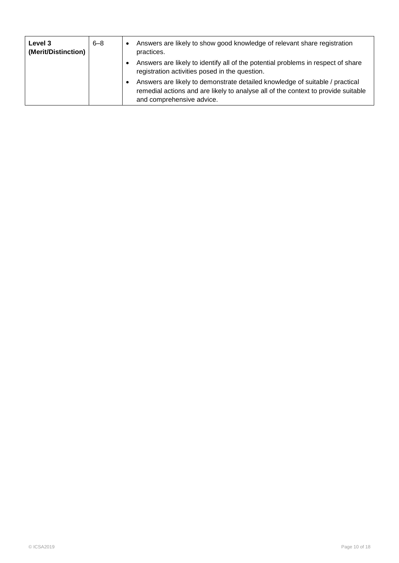| Level 3<br>(Merit/Distinction) | $6 - 8$ | Answers are likely to show good knowledge of relevant share registration<br>practices.                                                                                                         |
|--------------------------------|---------|------------------------------------------------------------------------------------------------------------------------------------------------------------------------------------------------|
|                                |         | Answers are likely to identify all of the potential problems in respect of share<br>registration activities posed in the question.                                                             |
|                                |         | Answers are likely to demonstrate detailed knowledge of suitable / practical<br>remedial actions and are likely to analyse all of the context to provide suitable<br>and comprehensive advice. |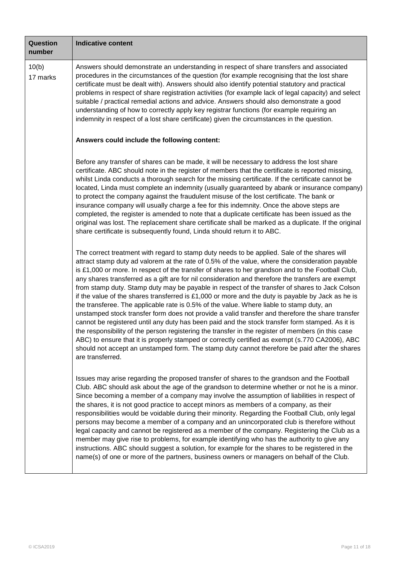| Question<br>number | <b>Indicative content</b>                                                                                                                                                                                                                                                                                                                                                                                                                                                                                                                                                                                                                                                                                                                                                                                                                                                                                                                                                                                                                                                                                                                                                                                                                           |
|--------------------|-----------------------------------------------------------------------------------------------------------------------------------------------------------------------------------------------------------------------------------------------------------------------------------------------------------------------------------------------------------------------------------------------------------------------------------------------------------------------------------------------------------------------------------------------------------------------------------------------------------------------------------------------------------------------------------------------------------------------------------------------------------------------------------------------------------------------------------------------------------------------------------------------------------------------------------------------------------------------------------------------------------------------------------------------------------------------------------------------------------------------------------------------------------------------------------------------------------------------------------------------------|
| 10(b)<br>17 marks  | Answers should demonstrate an understanding in respect of share transfers and associated<br>procedures in the circumstances of the question (for example recognising that the lost share<br>certificate must be dealt with). Answers should also identify potential statutory and practical<br>problems in respect of share registration activities (for example lack of legal capacity) and select<br>suitable / practical remedial actions and advice. Answers should also demonstrate a good<br>understanding of how to correctly apply key registrar functions (for example requiring an<br>indemnity in respect of a lost share certificate) given the circumstances in the question.                                                                                                                                                                                                                                                                                                                                                                                                                                                                                                                                                          |
|                    | Answers could include the following content:                                                                                                                                                                                                                                                                                                                                                                                                                                                                                                                                                                                                                                                                                                                                                                                                                                                                                                                                                                                                                                                                                                                                                                                                        |
|                    | Before any transfer of shares can be made, it will be necessary to address the lost share<br>certificate. ABC should note in the register of members that the certificate is reported missing,<br>whilst Linda conducts a thorough search for the missing certificate. If the certificate cannot be<br>located, Linda must complete an indemnity (usually guaranteed by abank or insurance company)<br>to protect the company against the fraudulent misuse of the lost certificate. The bank or<br>insurance company will usually charge a fee for this indemnity. Once the above steps are<br>completed, the register is amended to note that a duplicate certificate has been issued as the<br>original was lost. The replacement share certificate shall be marked as a duplicate. If the original<br>share certificate is subsequently found, Linda should return it to ABC.                                                                                                                                                                                                                                                                                                                                                                   |
|                    | The correct treatment with regard to stamp duty needs to be applied. Sale of the shares will<br>attract stamp duty ad valorem at the rate of 0.5% of the value, where the consideration payable<br>is £1,000 or more. In respect of the transfer of shares to her grandson and to the Football Club,<br>any shares transferred as a gift are for nil consideration and therefore the transfers are exempt<br>from stamp duty. Stamp duty may be payable in respect of the transfer of shares to Jack Colson<br>if the value of the shares transferred is $£1,000$ or more and the duty is payable by Jack as he is<br>the transferee. The applicable rate is 0.5% of the value. Where liable to stamp duty, an<br>unstamped stock transfer form does not provide a valid transfer and therefore the share transfer<br>cannot be registered until any duty has been paid and the stock transfer form stamped. As it is<br>the responsibility of the person registering the transfer in the register of members (in this case<br>ABC) to ensure that it is properly stamped or correctly certified as exempt (s.770 CA2006), ABC<br>should not accept an unstamped form. The stamp duty cannot therefore be paid after the shares<br>are transferred. |
|                    | Issues may arise regarding the proposed transfer of shares to the grandson and the Football<br>Club. ABC should ask about the age of the grandson to determine whether or not he is a minor.<br>Since becoming a member of a company may involve the assumption of liabilities in respect of<br>the shares, it is not good practice to accept minors as members of a company, as their<br>responsibilities would be voidable during their minority. Regarding the Football Club, only legal<br>persons may become a member of a company and an unincorporated club is therefore without<br>legal capacity and cannot be registered as a member of the company. Registering the Club as a<br>member may give rise to problems, for example identifying who has the authority to give any<br>instructions. ABC should suggest a solution, for example for the shares to be registered in the<br>name(s) of one or more of the partners, business owners or managers on behalf of the Club.                                                                                                                                                                                                                                                            |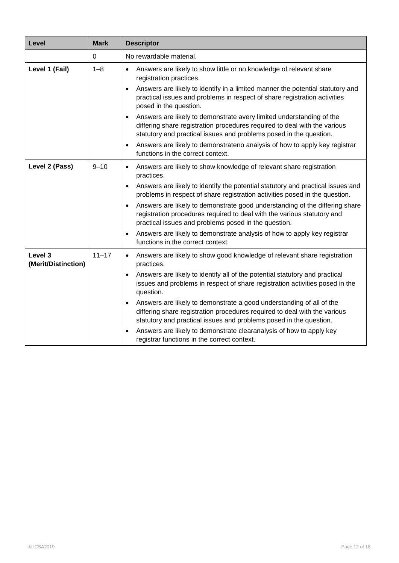| Level                          | <b>Mark</b> | <b>Descriptor</b>                                                                                                                                                                                                                                                                                                                                                                                                                                                                                                                                                                                                                                                                         |
|--------------------------------|-------------|-------------------------------------------------------------------------------------------------------------------------------------------------------------------------------------------------------------------------------------------------------------------------------------------------------------------------------------------------------------------------------------------------------------------------------------------------------------------------------------------------------------------------------------------------------------------------------------------------------------------------------------------------------------------------------------------|
|                                | 0           | No rewardable material.                                                                                                                                                                                                                                                                                                                                                                                                                                                                                                                                                                                                                                                                   |
| Level 1 (Fail)                 | $1 - 8$     | Answers are likely to show little or no knowledge of relevant share<br>$\bullet$<br>registration practices.<br>Answers are likely to identify in a limited manner the potential statutory and<br>$\bullet$<br>practical issues and problems in respect of share registration activities<br>posed in the question.<br>Answers are likely to demonstrate avery limited understanding of the<br>$\bullet$<br>differing share registration procedures required to deal with the various<br>statutory and practical issues and problems posed in the question.<br>Answers are likely to demonstrateno analysis of how to apply key registrar<br>$\bullet$<br>functions in the correct context. |
| Level 2 (Pass)                 | $9 - 10$    | Answers are likely to show knowledge of relevant share registration<br>$\bullet$<br>practices.<br>Answers are likely to identify the potential statutory and practical issues and<br>$\bullet$<br>problems in respect of share registration activities posed in the question.<br>Answers are likely to demonstrate good understanding of the differing share<br>$\bullet$<br>registration procedures required to deal with the various statutory and<br>practical issues and problems posed in the question.<br>Answers are likely to demonstrate analysis of how to apply key registrar<br>functions in the correct context.                                                             |
| Level 3<br>(Merit/Distinction) | $11 - 17$   | Answers are likely to show good knowledge of relevant share registration<br>$\bullet$<br>practices.<br>Answers are likely to identify all of the potential statutory and practical<br>issues and problems in respect of share registration activities posed in the<br>question.<br>Answers are likely to demonstrate a good understanding of all of the<br>$\bullet$<br>differing share registration procedures required to deal with the various<br>statutory and practical issues and problems posed in the question.<br>Answers are likely to demonstrate clearanalysis of how to apply key<br>registrar functions in the correct context.                                             |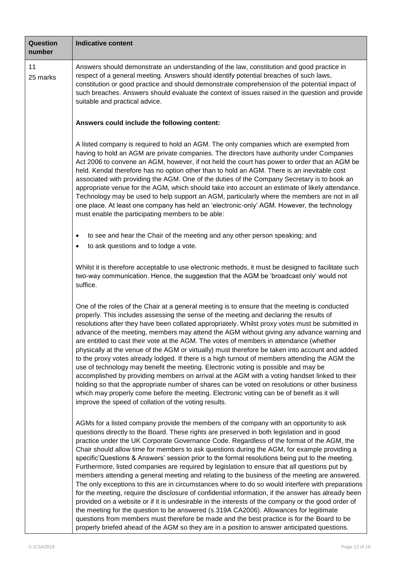| <b>Question</b><br>number | <b>Indicative content</b>                                                                                                                                                                                                                                                                                                                                                                                                                                                                                                                                                                                                                                                                                                                                                                                                                                                                                                                                                                                                                                                                                                                                                                                                                                                                          |  |  |  |  |
|---------------------------|----------------------------------------------------------------------------------------------------------------------------------------------------------------------------------------------------------------------------------------------------------------------------------------------------------------------------------------------------------------------------------------------------------------------------------------------------------------------------------------------------------------------------------------------------------------------------------------------------------------------------------------------------------------------------------------------------------------------------------------------------------------------------------------------------------------------------------------------------------------------------------------------------------------------------------------------------------------------------------------------------------------------------------------------------------------------------------------------------------------------------------------------------------------------------------------------------------------------------------------------------------------------------------------------------|--|--|--|--|
| 11<br>25 marks            | Answers should demonstrate an understanding of the law, constitution and good practice in<br>respect of a general meeting. Answers should identify potential breaches of such laws,<br>constitution or good practice and should demonstrate comprehension of the potential impact of<br>such breaches. Answers should evaluate the context of issues raised in the question and provide<br>suitable and practical advice.                                                                                                                                                                                                                                                                                                                                                                                                                                                                                                                                                                                                                                                                                                                                                                                                                                                                          |  |  |  |  |
|                           | Answers could include the following content:                                                                                                                                                                                                                                                                                                                                                                                                                                                                                                                                                                                                                                                                                                                                                                                                                                                                                                                                                                                                                                                                                                                                                                                                                                                       |  |  |  |  |
|                           | A listed company is required to hold an AGM. The only companies which are exempted from<br>having to hold an AGM are private companies. The directors have authority under Companies<br>Act 2006 to convene an AGM, however, if not held the court has power to order that an AGM be<br>held. Kendal therefore has no option other than to hold an AGM. There is an inevitable cost<br>associated with providing the AGM. One of the duties of the Company Secretary is to book an<br>appropriate venue for the AGM, which should take into account an estimate of likely attendance.<br>Technology may be used to help support an AGM, particularly where the members are not in all<br>one place. At least one company has held an 'electronic-only' AGM. However, the technology<br>must enable the participating members to be able:                                                                                                                                                                                                                                                                                                                                                                                                                                                           |  |  |  |  |
|                           | to see and hear the Chair of the meeting and any other person speaking; and<br>٠<br>to ask questions and to lodge a vote.<br>$\bullet$                                                                                                                                                                                                                                                                                                                                                                                                                                                                                                                                                                                                                                                                                                                                                                                                                                                                                                                                                                                                                                                                                                                                                             |  |  |  |  |
|                           | Whilst it is therefore acceptable to use electronic methods, it must be designed to facilitate such<br>two-way communication. Hence, the suggestion that the AGM be 'broadcast only' would not<br>suffice.                                                                                                                                                                                                                                                                                                                                                                                                                                                                                                                                                                                                                                                                                                                                                                                                                                                                                                                                                                                                                                                                                         |  |  |  |  |
|                           | One of the roles of the Chair at a general meeting is to ensure that the meeting is conducted<br>properly. This includes assessing the sense of the meeting and declaring the results of<br>resolutions after they have been collated appropriately. Whilst proxy votes must be submitted in<br>advance of the meeting, members may attend the AGM without giving any advance warning and<br>are entitled to cast their vote at the AGM. The votes of members in attendance (whether<br>physically at the venue of the AGM or virtually) must therefore be taken into account and added<br>to the proxy votes already lodged. If there is a high turnout of members attending the AGM the<br>use of technology may benefit the meeting. Electronic voting is possible and may be<br>accomplished by providing members on arrival at the AGM with a voting handset linked to their<br>holding so that the appropriate number of shares can be voted on resolutions or other business<br>which may properly come before the meeting. Electronic voting can be of benefit as it will<br>improve the speed of collation of the voting results.                                                                                                                                                         |  |  |  |  |
|                           | AGMs for a listed company provide the members of the company with an opportunity to ask<br>questions directly to the Board. These rights are preserved in both legislation and in good<br>practice under the UK Corporate Governance Code. Regardless of the format of the AGM, the<br>Chair should allow time for members to ask questions during the AGM, for example providing a<br>specific'Questions & Answers' session prior to the formal resolutions being put to the meeting.<br>Furthermore, listed companies are required by legislation to ensure that all questions put by<br>members attending a general meeting and relating to the business of the meeting are answered.<br>The only exceptions to this are in circumstances where to do so would interfere with preparations<br>for the meeting, require the disclosure of confidential information, if the answer has already been<br>provided on a website or if it is undesirable in the interests of the company or the good order of<br>the meeting for the question to be answered (s.319A CA2006). Allowances for legitimate<br>questions from members must therefore be made and the best practice is for the Board to be<br>properly briefed ahead of the AGM so they are in a position to answer anticipated questions. |  |  |  |  |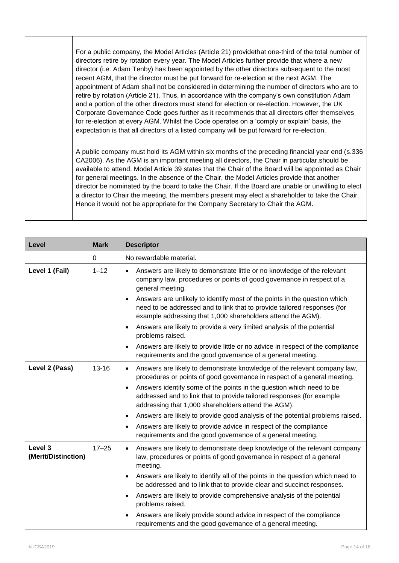For a public company, the Model Articles (Article 21) providethat one-third of the total number of directors retire by rotation every year. The Model Articles further provide that where a new director (i.e. Adam Tenby) has been appointed by the other directors subsequent to the most recent AGM, that the director must be put forward for re-election at the next AGM. The appointment of Adam shall not be considered in determining the number of directors who are to retire by rotation (Article 21). Thus, in accordance with the company's own constitution Adam and a portion of the other directors must stand for election or re-election. However, the UK Corporate Governance Code goes further as it recommends that all directors offer themselves for re-election at every AGM. Whilst the Code operates on a 'comply or explain' basis, the expectation is that all directors of a listed company will be put forward for re-election.

A public company must hold its AGM within six months of the preceding financial year end (s.336 CA2006). As the AGM is an important meeting all directors, the Chair in particular,should be available to attend. Model Article 39 states that the Chair of the Board will be appointed as Chair for general meetings. In the absence of the Chair, the Model Articles provide that another director be nominated by the board to take the Chair. If the Board are unable or unwilling to elect a director to Chair the meeting, the members present may elect a shareholder to take the Chair. Hence it would not be appropriate for the Company Secretary to Chair the AGM.

| Level                          | <b>Mark</b> | <b>Descriptor</b>                                                                                                                                                                                                                                                           |
|--------------------------------|-------------|-----------------------------------------------------------------------------------------------------------------------------------------------------------------------------------------------------------------------------------------------------------------------------|
|                                | $\Omega$    | No rewardable material.                                                                                                                                                                                                                                                     |
| Level 1 (Fail)                 | $1 - 12$    | Answers are likely to demonstrate little or no knowledge of the relevant<br>$\bullet$<br>company law, procedures or points of good governance in respect of a<br>general meeting.<br>Answers are unlikely to identify most of the points in the question which<br>$\bullet$ |
|                                |             | need to be addressed and to link that to provide tailored responses (for<br>example addressing that 1,000 shareholders attend the AGM).                                                                                                                                     |
|                                |             | Answers are likely to provide a very limited analysis of the potential<br>$\bullet$<br>problems raised.                                                                                                                                                                     |
|                                |             | Answers are likely to provide little or no advice in respect of the compliance<br>$\bullet$<br>requirements and the good governance of a general meeting.                                                                                                                   |
| Level 2 (Pass)                 | $13 - 16$   | Answers are likely to demonstrate knowledge of the relevant company law,<br>$\bullet$<br>procedures or points of good governance in respect of a general meeting.                                                                                                           |
|                                |             | Answers identify some of the points in the question which need to be<br>$\bullet$<br>addressed and to link that to provide tailored responses (for example<br>addressing that 1,000 shareholders attend the AGM).                                                           |
|                                |             | Answers are likely to provide good analysis of the potential problems raised.<br>$\bullet$                                                                                                                                                                                  |
|                                |             | Answers are likely to provide advice in respect of the compliance<br>$\bullet$<br>requirements and the good governance of a general meeting.                                                                                                                                |
| Level 3<br>(Merit/Distinction) | $17 - 25$   | Answers are likely to demonstrate deep knowledge of the relevant company<br>$\bullet$<br>law, procedures or points of good governance in respect of a general<br>meeting.                                                                                                   |
|                                |             | Answers are likely to identify all of the points in the question which need to<br>$\bullet$<br>be addressed and to link that to provide clear and succinct responses.                                                                                                       |
|                                |             | Answers are likely to provide comprehensive analysis of the potential<br>$\bullet$<br>problems raised.                                                                                                                                                                      |
|                                |             | Answers are likely provide sound advice in respect of the compliance<br>$\bullet$<br>requirements and the good governance of a general meeting.                                                                                                                             |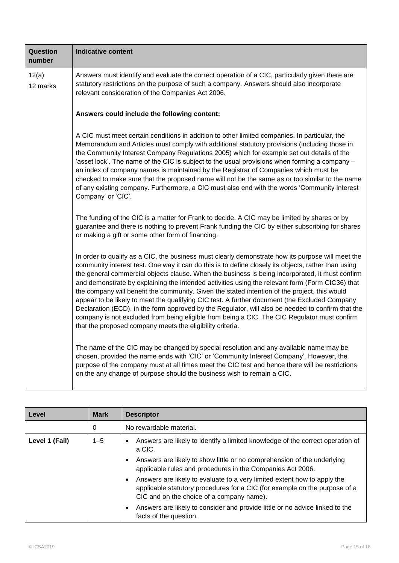| Question<br>number | <b>Indicative content</b>                                                                                                                                                                                                                                                                                                                                                                                                                                                                                                                                                                                                                                                                                                                                                                                                                                                          |
|--------------------|------------------------------------------------------------------------------------------------------------------------------------------------------------------------------------------------------------------------------------------------------------------------------------------------------------------------------------------------------------------------------------------------------------------------------------------------------------------------------------------------------------------------------------------------------------------------------------------------------------------------------------------------------------------------------------------------------------------------------------------------------------------------------------------------------------------------------------------------------------------------------------|
| 12(a)<br>12 marks  | Answers must identify and evaluate the correct operation of a CIC, particularly given there are<br>statutory restrictions on the purpose of such a company. Answers should also incorporate<br>relevant consideration of the Companies Act 2006.                                                                                                                                                                                                                                                                                                                                                                                                                                                                                                                                                                                                                                   |
|                    | Answers could include the following content:                                                                                                                                                                                                                                                                                                                                                                                                                                                                                                                                                                                                                                                                                                                                                                                                                                       |
|                    | A CIC must meet certain conditions in addition to other limited companies. In particular, the<br>Memorandum and Articles must comply with additional statutory provisions (including those in<br>the Community Interest Company Regulations 2005) which for example set out details of the<br>'asset lock'. The name of the CIC is subject to the usual provisions when forming a company -<br>an index of company names is maintained by the Registrar of Companies which must be<br>checked to make sure that the proposed name will not be the same as or too similar to the name<br>of any existing company. Furthermore, a CIC must also end with the words 'Community Interest<br>Company' or 'CIC'.                                                                                                                                                                         |
|                    | The funding of the CIC is a matter for Frank to decide. A CIC may be limited by shares or by<br>guarantee and there is nothing to prevent Frank funding the CIC by either subscribing for shares<br>or making a gift or some other form of financing.                                                                                                                                                                                                                                                                                                                                                                                                                                                                                                                                                                                                                              |
|                    | In order to qualify as a CIC, the business must clearly demonstrate how its purpose will meet the<br>community interest test. One way it can do this is to define closely its objects, rather than using<br>the general commercial objects clause. When the business is being incorporated, it must confirm<br>and demonstrate by explaining the intended activities using the relevant form (Form CIC36) that<br>the company will benefit the community. Given the stated intention of the project, this would<br>appear to be likely to meet the qualifying CIC test. A further document (the Excluded Company<br>Declaration (ECD), in the form approved by the Regulator, will also be needed to confirm that the<br>company is not excluded from being eligible from being a CIC. The CIC Regulator must confirm<br>that the proposed company meets the eligibility criteria. |
|                    | The name of the CIC may be changed by special resolution and any available name may be<br>chosen, provided the name ends with 'CIC' or 'Community Interest Company'. However, the<br>purpose of the company must at all times meet the CIC test and hence there will be restrictions<br>on the any change of purpose should the business wish to remain a CIC.                                                                                                                                                                                                                                                                                                                                                                                                                                                                                                                     |

| Level          | <b>Mark</b> | <b>Descriptor</b>                                                                                                                                                                                        |
|----------------|-------------|----------------------------------------------------------------------------------------------------------------------------------------------------------------------------------------------------------|
|                | 0           | No rewardable material.                                                                                                                                                                                  |
| Level 1 (Fail) | $1 - 5$     | Answers are likely to identify a limited knowledge of the correct operation of<br>$\bullet$<br>a CIC.                                                                                                    |
|                |             | Answers are likely to show little or no comprehension of the underlying<br>applicable rules and procedures in the Companies Act 2006.                                                                    |
|                |             | Answers are likely to evaluate to a very limited extent how to apply the<br>٠<br>applicable statutory procedures for a CIC (for example on the purpose of a<br>CIC and on the choice of a company name). |
|                |             | Answers are likely to consider and provide little or no advice linked to the<br>facts of the question.                                                                                                   |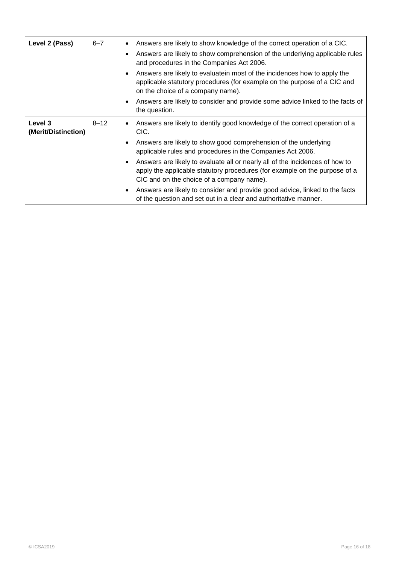| Level 2 (Pass)                 | $6 - 7$  | Answers are likely to show knowledge of the correct operation of a CIC.<br>$\bullet$<br>Answers are likely to show comprehension of the underlying applicable rules<br>$\bullet$<br>and procedures in the Companies Act 2006. |
|--------------------------------|----------|-------------------------------------------------------------------------------------------------------------------------------------------------------------------------------------------------------------------------------|
|                                |          | Answers are likely to evaluatein most of the incidences how to apply the<br>$\bullet$<br>applicable statutory procedures (for example on the purpose of a CIC and<br>on the choice of a company name).                        |
|                                |          | Answers are likely to consider and provide some advice linked to the facts of<br>$\bullet$<br>the question.                                                                                                                   |
| Level 3<br>(Merit/Distinction) | $8 - 12$ | Answers are likely to identify good knowledge of the correct operation of a<br>$\bullet$<br>CIC.                                                                                                                              |
|                                |          | Answers are likely to show good comprehension of the underlying<br>$\bullet$<br>applicable rules and procedures in the Companies Act 2006.                                                                                    |
|                                |          | Answers are likely to evaluate all or nearly all of the incidences of how to<br>$\bullet$<br>apply the applicable statutory procedures (for example on the purpose of a<br>CIC and on the choice of a company name).          |
|                                |          | Answers are likely to consider and provide good advice, linked to the facts<br>$\bullet$<br>of the question and set out in a clear and authoritative manner.                                                                  |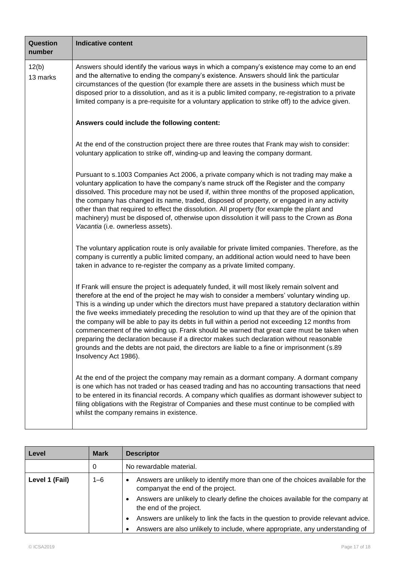| Question<br>number | <b>Indicative content</b>                                                                                                                                                                                                                                                                                                                                                                                                                                                                                                                                                                                                                                                                                                                                                                                                  |  |  |  |  |
|--------------------|----------------------------------------------------------------------------------------------------------------------------------------------------------------------------------------------------------------------------------------------------------------------------------------------------------------------------------------------------------------------------------------------------------------------------------------------------------------------------------------------------------------------------------------------------------------------------------------------------------------------------------------------------------------------------------------------------------------------------------------------------------------------------------------------------------------------------|--|--|--|--|
| 12(b)<br>13 marks  | Answers should identify the various ways in which a company's existence may come to an end<br>and the alternative to ending the company's existence. Answers should link the particular<br>circumstances of the question (for example there are assets in the business which must be<br>disposed prior to a dissolution, and as it is a public limited company, re-registration to a private<br>limited company is a pre-requisite for a voluntary application to strike off) to the advice given.                                                                                                                                                                                                                                                                                                                         |  |  |  |  |
|                    | Answers could include the following content:                                                                                                                                                                                                                                                                                                                                                                                                                                                                                                                                                                                                                                                                                                                                                                               |  |  |  |  |
|                    | At the end of the construction project there are three routes that Frank may wish to consider:<br>voluntary application to strike off, winding-up and leaving the company dormant.                                                                                                                                                                                                                                                                                                                                                                                                                                                                                                                                                                                                                                         |  |  |  |  |
|                    | Pursuant to s.1003 Companies Act 2006, a private company which is not trading may make a<br>voluntary application to have the company's name struck off the Register and the company<br>dissolved. This procedure may not be used if, within three months of the proposed application,<br>the company has changed its name, traded, disposed of property, or engaged in any activity<br>other than that required to effect the dissolution. All property (for example the plant and<br>machinery) must be disposed of, otherwise upon dissolution it will pass to the Crown as Bona<br>Vacantia (i.e. ownerless assets).                                                                                                                                                                                                   |  |  |  |  |
|                    | The voluntary application route is only available for private limited companies. Therefore, as the<br>company is currently a public limited company, an additional action would need to have been<br>taken in advance to re-register the company as a private limited company.                                                                                                                                                                                                                                                                                                                                                                                                                                                                                                                                             |  |  |  |  |
|                    | If Frank will ensure the project is adequately funded, it will most likely remain solvent and<br>therefore at the end of the project he may wish to consider a members' voluntary winding up.<br>This is a winding up under which the directors must have prepared a statutory declaration within<br>the five weeks immediately preceding the resolution to wind up that they are of the opinion that<br>the company will be able to pay its debts in full within a period not exceeding 12 months from<br>commencement of the winding up. Frank should be warned that great care must be taken when<br>preparing the declaration because if a director makes such declaration without reasonable<br>grounds and the debts are not paid, the directors are liable to a fine or imprisonment (s.89<br>Insolvency Act 1986). |  |  |  |  |
|                    | At the end of the project the company may remain as a dormant company. A dormant company<br>is one which has not traded or has ceased trading and has no accounting transactions that need<br>to be entered in its financial records. A company which qualifies as dormant ishowever subject to<br>filing obligations with the Registrar of Companies and these must continue to be complied with<br>whilst the company remains in existence.                                                                                                                                                                                                                                                                                                                                                                              |  |  |  |  |

| Level          | <b>Mark</b> | <b>Descriptor</b>                                                                                                                 |
|----------------|-------------|-----------------------------------------------------------------------------------------------------------------------------------|
|                | 0           | No rewardable material.                                                                                                           |
| Level 1 (Fail) | $1 - 6$     | Answers are unlikely to identify more than one of the choices available for the<br>$\bullet$<br>companyat the end of the project. |
|                |             | Answers are unlikely to clearly define the choices available for the company at<br>the end of the project.                        |
|                |             | Answers are unlikely to link the facts in the question to provide relevant advice.                                                |
|                |             | Answers are also unlikely to include, where appropriate, any understanding of                                                     |